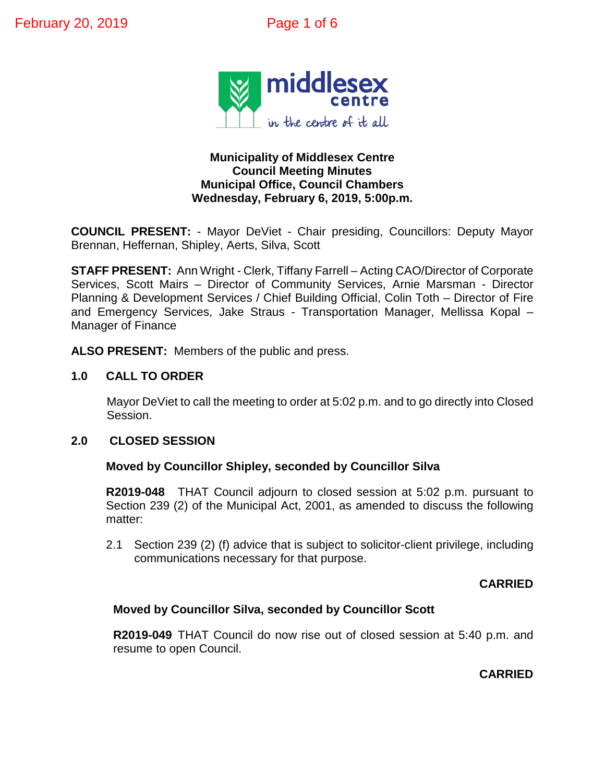

# **Municipality of Middlesex Centre Council Meeting Minutes Municipal Office, Council Chambers Wednesday, February 6, 2019, 5:00p.m.**

**COUNCIL PRESENT:** - Mayor DeViet - Chair presiding, Councillors: Deputy Mayor Brennan, Heffernan, Shipley, Aerts, Silva, Scott

**STAFF PRESENT:** Ann Wright - Clerk, Tiffany Farrell – Acting CAO/Director of Corporate Services, Scott Mairs – Director of Community Services, Arnie Marsman - Director Planning & Development Services / Chief Building Official, Colin Toth – Director of Fire and Emergency Services, Jake Straus - Transportation Manager, Mellissa Kopal – Manager of Finance

**ALSO PRESENT:** Members of the public and press.

# **1.0 CALL TO ORDER**

Mayor DeViet to call the meeting to order at 5:02 p.m. and to go directly into Closed Session.

# **2.0 CLOSED SESSION**

**Moved by Councillor Shipley, seconded by Councillor Silva**

**R2019-048** THAT Council adjourn to closed session at 5:02 p.m. pursuant to Section 239 (2) of the Municipal Act, 2001, as amended to discuss the following matter:

2.1 Section 239 (2) (f) advice that is subject to solicitor-client privilege, including communications necessary for that purpose.

### **CARRIED**

# **Moved by Councillor Silva, seconded by Councillor Scott**

**R2019-049** THAT Council do now rise out of closed session at 5:40 p.m. and resume to open Council.

# **CARRIED**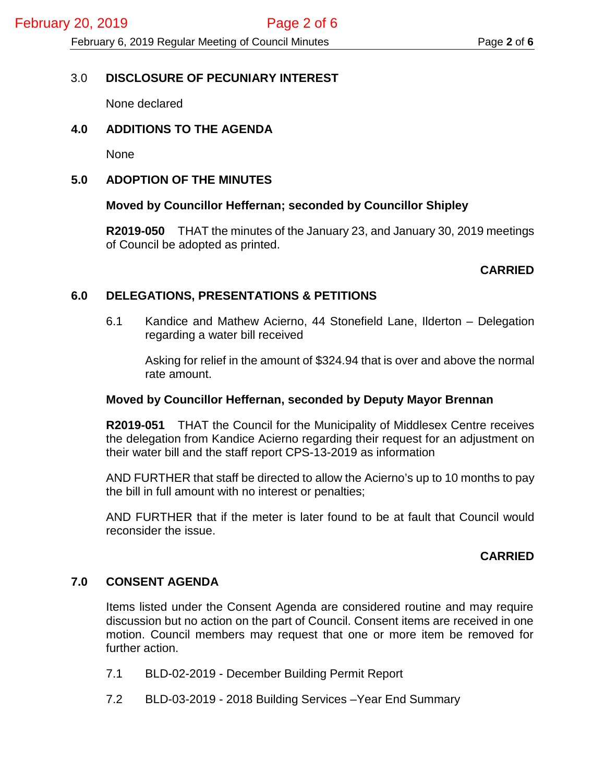# 3.0 **DISCLOSURE OF PECUNIARY INTEREST**

None declared

# **4.0 ADDITIONS TO THE AGENDA**

None

# **5.0 ADOPTION OF THE MINUTES**

# **Moved by Councillor Heffernan; seconded by Councillor Shipley**

**R2019-050** THAT the minutes of the January 23, and January 30, 2019 meetings of Council be adopted as printed.

# **CARRIED**

# **6.0 DELEGATIONS, PRESENTATIONS & PETITIONS**

6.1 Kandice and Mathew Acierno, 44 Stonefield Lane, Ilderton – Delegation regarding a water bill received

Asking for relief in the amount of \$324.94 that is over and above the normal rate amount.

### **Moved by Councillor Heffernan, seconded by Deputy Mayor Brennan**

**R2019-051** THAT the Council for the Municipality of Middlesex Centre receives the delegation from Kandice Acierno regarding their request for an adjustment on their water bill and the staff report CPS-13-2019 as information

AND FURTHER that staff be directed to allow the Acierno's up to 10 months to pay the bill in full amount with no interest or penalties;

AND FURTHER that if the meter is later found to be at fault that Council would reconsider the issue.

# **CARRIED**

# **7.0 CONSENT AGENDA**

Items listed under the Consent Agenda are considered routine and may require discussion but no action on the part of Council. Consent items are received in one motion. Council members may request that one or more item be removed for further action.

- 7.1 BLD-02-2019 December Building Permit Report
- 7.2 BLD-03-2019 2018 Building Services –Year End Summary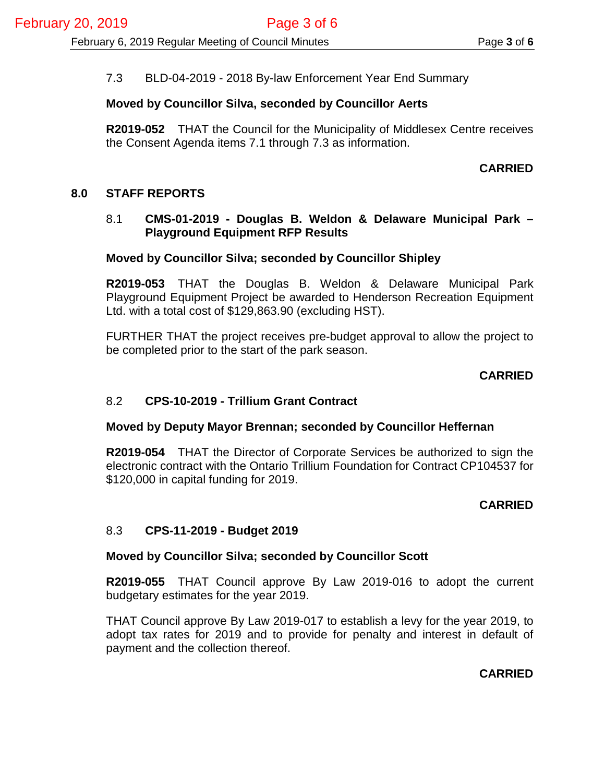# 7.3 BLD-04-2019 - 2018 By-law Enforcement Year End Summary

### **Moved by Councillor Silva, seconded by Councillor Aerts**

**R2019-052** THAT the Council for the Municipality of Middlesex Centre receives the Consent Agenda items 7.1 through 7.3 as information.

### **CARRIED**

### **8.0 STAFF REPORTS**

### 8.1 **CMS-01-2019 - Douglas B. Weldon & Delaware Municipal Park – Playground Equipment RFP Results**

#### **Moved by Councillor Silva; seconded by Councillor Shipley**

**R2019-053** THAT the Douglas B. Weldon & Delaware Municipal Park Playground Equipment Project be awarded to Henderson Recreation Equipment Ltd. with a total cost of \$129,863.90 (excluding HST).

FURTHER THAT the project receives pre-budget approval to allow the project to be completed prior to the start of the park season.

### **CARRIED**

### 8.2 **CPS-10-2019 - Trillium Grant Contract**

#### **Moved by Deputy Mayor Brennan; seconded by Councillor Heffernan**

**R2019-054** THAT the Director of Corporate Services be authorized to sign the electronic contract with the Ontario Trillium Foundation for Contract CP104537 for \$120,000 in capital funding for 2019.

### **CARRIED**

### 8.3 **CPS-11-2019 - Budget 2019**

#### **Moved by Councillor Silva; seconded by Councillor Scott**

**R2019-055** THAT Council approve By Law 2019-016 to adopt the current budgetary estimates for the year 2019.

THAT Council approve By Law 2019-017 to establish a levy for the year 2019, to adopt tax rates for 2019 and to provide for penalty and interest in default of payment and the collection thereof.

### **CARRIED**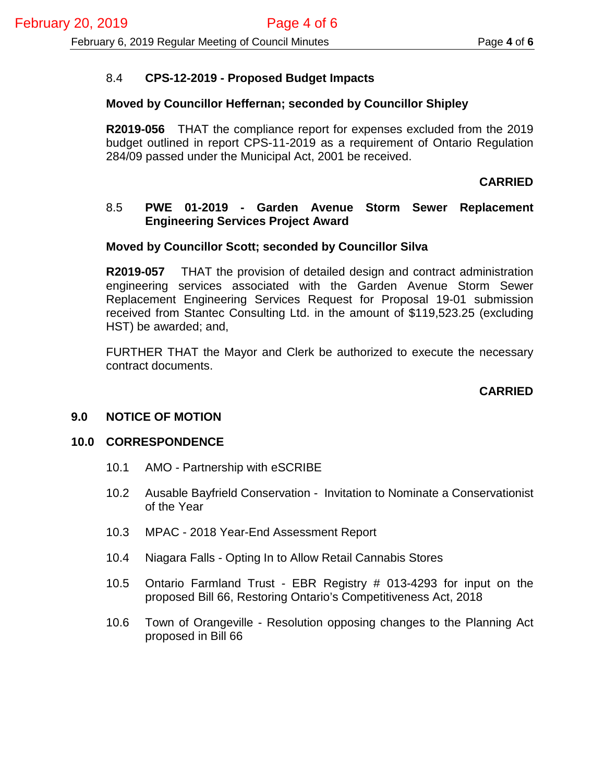# 8.4 **CPS-12-2019 - Proposed Budget Impacts**

### **Moved by Councillor Heffernan; seconded by Councillor Shipley**

**R2019-056** THAT the compliance report for expenses excluded from the 2019 budget outlined in report CPS-11-2019 as a requirement of Ontario Regulation 284/09 passed under the Municipal Act, 2001 be received.

### **CARRIED**

### 8.5 **PWE 01-2019 - Garden Avenue Storm Sewer Replacement Engineering Services Project Award**

### **Moved by Councillor Scott; seconded by Councillor Silva**

**R2019-057** THAT the provision of detailed design and contract administration engineering services associated with the Garden Avenue Storm Sewer Replacement Engineering Services Request for Proposal 19-01 submission received from Stantec Consulting Ltd. in the amount of \$119,523.25 (excluding HST) be awarded; and,

FURTHER THAT the Mayor and Clerk be authorized to execute the necessary contract documents.

# **CARRIED**

### **9.0 NOTICE OF MOTION**

### **10.0 CORRESPONDENCE**

- 10.1 AMO Partnership with eSCRIBE
- 10.2 Ausable Bayfrield Conservation Invitation to Nominate a Conservationist of the Year
- 10.3 MPAC 2018 Year-End Assessment Report
- 10.4 Niagara Falls Opting In to Allow Retail Cannabis Stores
- 10.5 Ontario Farmland Trust EBR Registry # 013-4293 for input on the proposed Bill 66, Restoring Ontario's Competitiveness Act, 2018
- 10.6 Town of Orangeville Resolution opposing changes to the Planning Act proposed in Bill 66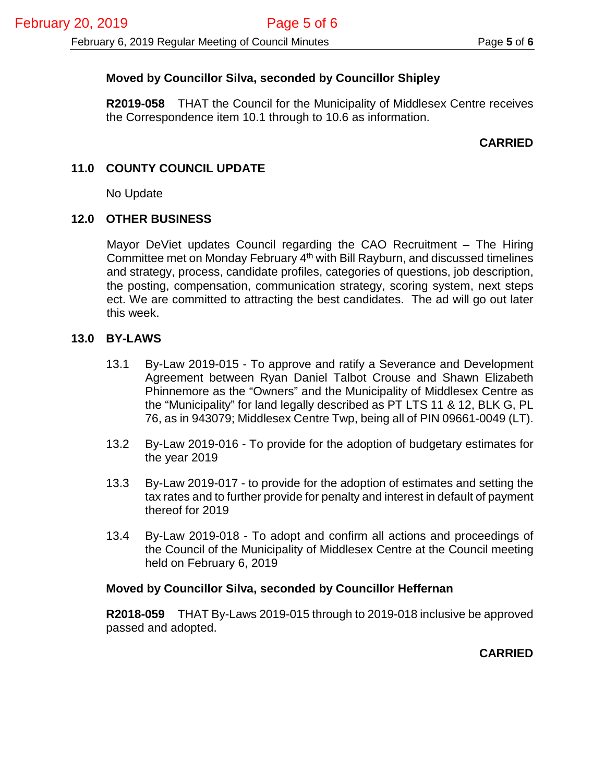# **Moved by Councillor Silva, seconded by Councillor Shipley**

**R2019-058** THAT the Council for the Municipality of Middlesex Centre receives the Correspondence item 10.1 through to 10.6 as information.

# **CARRIED**

# **11.0 COUNTY COUNCIL UPDATE**

No Update

# **12.0 OTHER BUSINESS**

Mayor DeViet updates Council regarding the CAO Recruitment – The Hiring Committee met on Monday February  $4<sup>th</sup>$  with Bill Rayburn, and discussed timelines and strategy, process, candidate profiles, categories of questions, job description, the posting, compensation, communication strategy, scoring system, next steps ect. We are committed to attracting the best candidates. The ad will go out later this week.

### **13.0 BY-LAWS**

- 13.1 By-Law 2019-015 To approve and ratify a Severance and Development Agreement between Ryan Daniel Talbot Crouse and Shawn Elizabeth Phinnemore as the "Owners" and the Municipality of Middlesex Centre as the "Municipality" for land legally described as PT LTS 11 & 12, BLK G, PL 76, as in 943079; Middlesex Centre Twp, being all of PIN 09661-0049 (LT).
- 13.2 By-Law 2019-016 To provide for the adoption of budgetary estimates for the year 2019
- 13.3 By-Law 2019-017 to provide for the adoption of estimates and setting the tax rates and to further provide for penalty and interest in default of payment thereof for 2019
- 13.4 By-Law 2019-018 To adopt and confirm all actions and proceedings of the Council of the Municipality of Middlesex Centre at the Council meeting held on February 6, 2019

### **Moved by Councillor Silva, seconded by Councillor Heffernan**

**R2018-059** THAT By-Laws 2019-015 through to 2019-018 inclusive be approved passed and adopted.

**CARRIED**